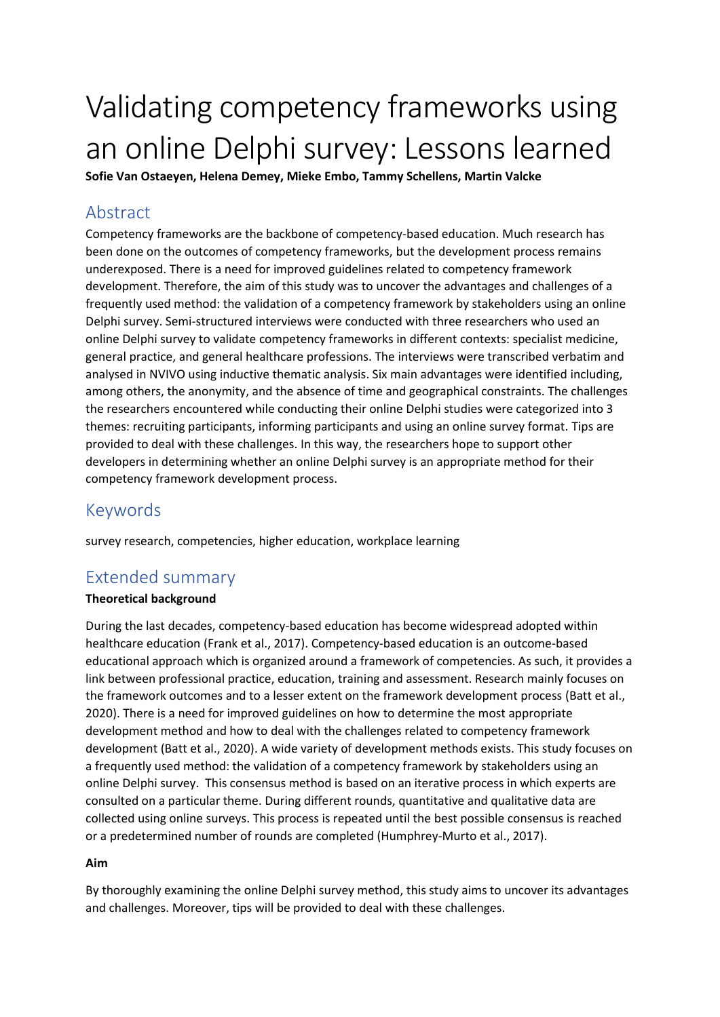# Validating competency frameworks using an online Delphi survey: Lessons learned

**Sofie Van Ostaeyen, Helena Demey, Mieke Embo, Tammy Schellens, Martin Valcke**

# Abstract

Competency frameworks are the backbone of competency-based education. Much research has been done on the outcomes of competency frameworks, but the development process remains underexposed. There is a need for improved guidelines related to competency framework development. Therefore, the aim of this study was to uncover the advantages and challenges of a frequently used method: the validation of a competency framework by stakeholders using an online Delphi survey. Semi-structured interviews were conducted with three researchers who used an online Delphi survey to validate competency frameworks in different contexts: specialist medicine, general practice, and general healthcare professions. The interviews were transcribed verbatim and analysed in NVIVO using inductive thematic analysis. Six main advantages were identified including, among others, the anonymity, and the absence of time and geographical constraints. The challenges the researchers encountered while conducting their online Delphi studies were categorized into 3 themes: recruiting participants, informing participants and using an online survey format. Tips are provided to deal with these challenges. In this way, the researchers hope to support other developers in determining whether an online Delphi survey is an appropriate method for their competency framework development process.

## Keywords

survey research, competencies, higher education, workplace learning

## Extended summary

## **Theoretical background**

During the last decades, competency-based education has become widespread adopted within healthcare education (Frank et al., 2017). Competency-based education is an outcome-based educational approach which is organized around a framework of competencies. As such, it provides a link between professional practice, education, training and assessment. Research mainly focuses on the framework outcomes and to a lesser extent on the framework development process (Batt et al., 2020). There is a need for improved guidelines on how to determine the most appropriate development method and how to deal with the challenges related to competency framework development (Batt et al., 2020). A wide variety of development methods exists. This study focuses on a frequently used method: the validation of a competency framework by stakeholders using an online Delphi survey. This consensus method is based on an iterative process in which experts are consulted on a particular theme. During different rounds, quantitative and qualitative data are collected using online surveys. This process is repeated until the best possible consensus is reached or a predetermined number of rounds are completed (Humphrey-Murto et al., 2017).

## **Aim**

By thoroughly examining the online Delphi survey method, this study aims to uncover its advantages and challenges. Moreover, tips will be provided to deal with these challenges.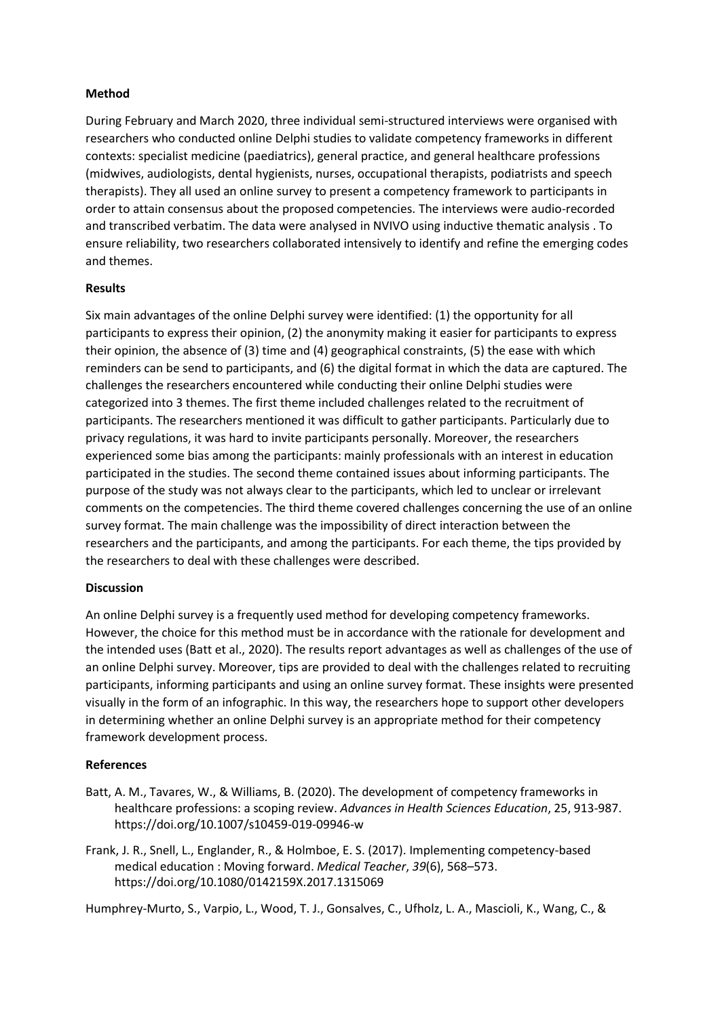#### **Method**

During February and March 2020, three individual semi-structured interviews were organised with researchers who conducted online Delphi studies to validate competency frameworks in different contexts: specialist medicine (paediatrics), general practice, and general healthcare professions (midwives, audiologists, dental hygienists, nurses, occupational therapists, podiatrists and speech therapists). They all used an online survey to present a competency framework to participants in order to attain consensus about the proposed competencies. The interviews were audio-recorded and transcribed verbatim. The data were analysed in NVIVO using inductive thematic analysis . To ensure reliability, two researchers collaborated intensively to identify and refine the emerging codes and themes.

#### **Results**

Six main advantages of the online Delphi survey were identified: (1) the opportunity for all participants to express their opinion, (2) the anonymity making it easier for participants to express their opinion, the absence of (3) time and (4) geographical constraints, (5) the ease with which reminders can be send to participants, and (6) the digital format in which the data are captured. The challenges the researchers encountered while conducting their online Delphi studies were categorized into 3 themes. The first theme included challenges related to the recruitment of participants. The researchers mentioned it was difficult to gather participants. Particularly due to privacy regulations, it was hard to invite participants personally. Moreover, the researchers experienced some bias among the participants: mainly professionals with an interest in education participated in the studies. The second theme contained issues about informing participants. The purpose of the study was not always clear to the participants, which led to unclear or irrelevant comments on the competencies. The third theme covered challenges concerning the use of an online survey format. The main challenge was the impossibility of direct interaction between the researchers and the participants, and among the participants. For each theme, the tips provided by the researchers to deal with these challenges were described.

#### **Discussion**

An online Delphi survey is a frequently used method for developing competency frameworks. However, the choice for this method must be in accordance with the rationale for development and the intended uses (Batt et al., 2020). The results report advantages as well as challenges of the use of an online Delphi survey. Moreover, tips are provided to deal with the challenges related to recruiting participants, informing participants and using an online survey format. These insights were presented visually in the form of an infographic. In this way, the researchers hope to support other developers in determining whether an online Delphi survey is an appropriate method for their competency framework development process.

#### **References**

- Batt, A. M., Tavares, W., & Williams, B. (2020). The development of competency frameworks in healthcare professions: a scoping review. *Advances in Health Sciences Education*, 25, 913-987. https://doi.org/10.1007/s10459-019-09946-w
- Frank, J. R., Snell, L., Englander, R., & Holmboe, E. S. (2017). Implementing competency-based medical education : Moving forward. *Medical Teacher*, *39*(6), 568–573. https://doi.org/10.1080/0142159X.2017.1315069

Humphrey-Murto, S., Varpio, L., Wood, T. J., Gonsalves, C., Ufholz, L. A., Mascioli, K., Wang, C., &